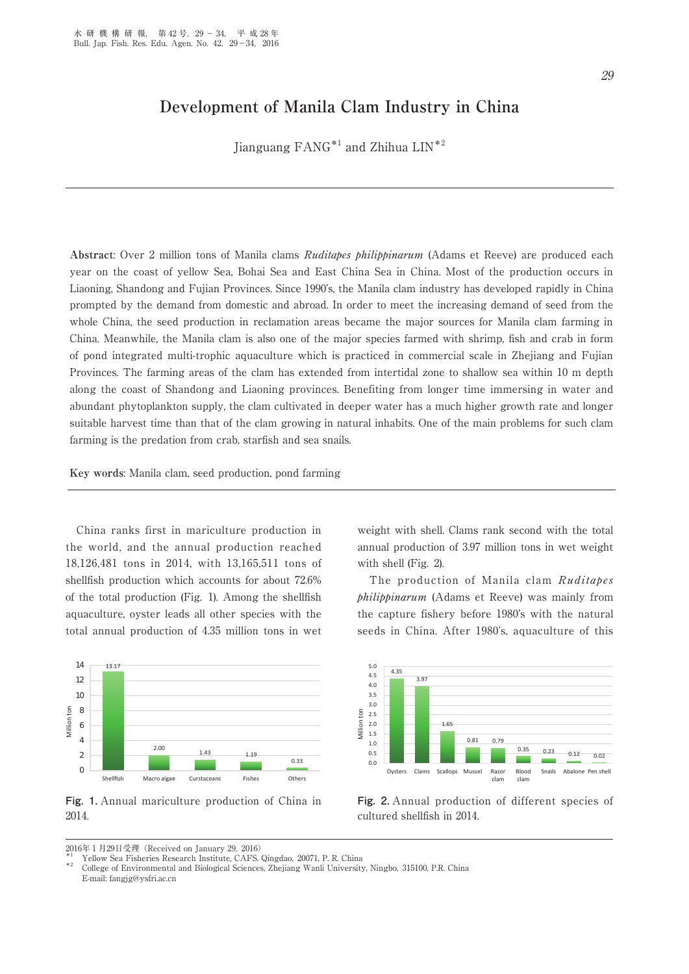# **Development of Manila Clam Industry in China**

Jianguang FANG\*1 and Zhihua LIN\*2

**Abstract**: Over 2 million tons of Manila clams Ruditapes philippinarum (Adams et Reeve) are produced each year on the coast of yellow Sea, Bohai Sea and East China Sea in China. Most of the production occurs in Liaoning, Shandong and Fujian Provinces. Since 1990's, the Manila clam industry has developed rapidly in China prompted by the demand from domestic and abroad. In order to meet the increasing demand of seed from the whole China, the seed production in reclamation areas became the major sources for Manila clam farming in China. Meanwhile, the Manila clam is also one of the major species farmed with shrimp, fish and crab in form of pond integrated multi-trophic aquaculture which is practiced in commercial scale in Zhejiang and Fujian Provinces. The farming areas of the clam has extended from intertidal zone to shallow sea within 10 m depth along the coast of Shandong and Liaoning provinces. Benefiting from longer time immersing in water and abundant phytoplankton supply, the clam cultivated in deeper water has a much higher growth rate and longer suitable harvest time than that of the clam growing in natural inhabits. One of the main problems for such clam farming is the predation from crab, starfish and sea snails.

**Key words**: Manila clam, seed production, pond farming

 China ranks first in mariculture production in the world, and the annual production reached 18,126,481 tons in 2014, with 13,165,511 tons of shellfish production which accounts for about 72.6% of the total production (Fig. 1). Among the shellfish aquaculture, oyster leads all other species with the total annual production of 4.35 million tons in wet



**Fig. 1.** Annual mariculture production of China in 2014.

weight with shell. Clams rank second with the total annual production of 3.97 million tons in wet weight with shell (Fig. 2).

The production of Manila clam Ruditapes philippinarum (Adams et Reeve) was mainly from the capture fishery before 1980's with the natural seeds in China. After 1980's, aquaculture of this



**Fig. 2.** Annual production of different species of cultured shellfish in 2014.

<sup>0016</sup>年1月29日受理(Received on January 29, 2016)<br>
\*1 Yellow Sea Fisheries Research Institute, CAFS. Qingdao, 20071, P. R. China<br>
\*2 College of Environmental and Biological Sciences, Zhejiang Wanli University, Ningbo, 315100, P. E-mail: fangjg@ysfri.ac.cn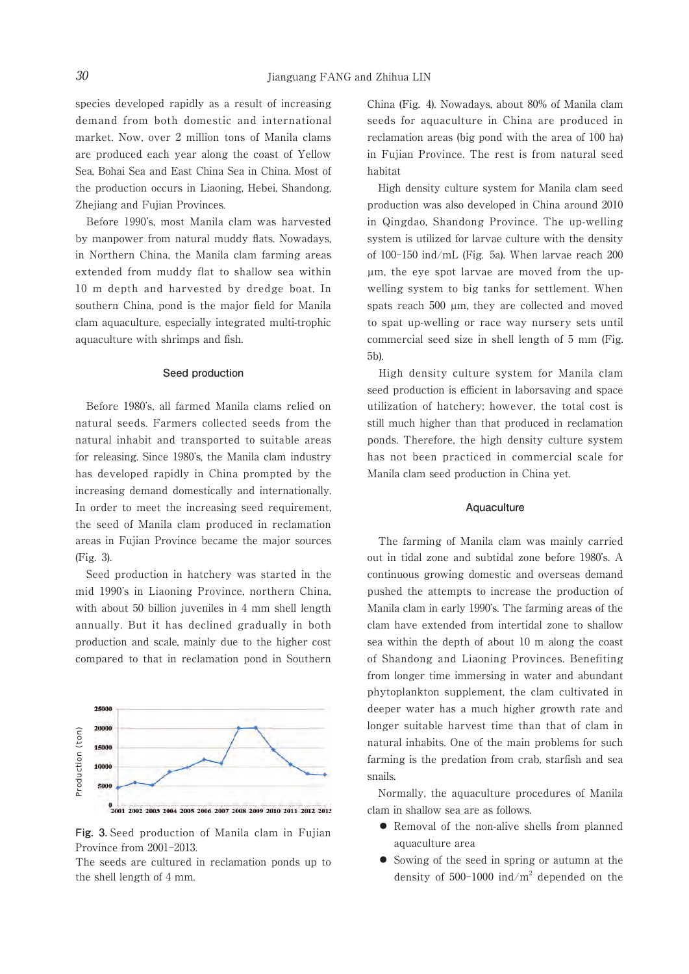species developed rapidly as a result of increasing demand from both domestic and international market. Now, over 2 million tons of Manila clams are produced each year along the coast of Yellow Sea, Bohai Sea and East China Sea in China. Most of the production occurs in Liaoning, Hebei, Shandong, Zhejiang and Fujian Provinces.

 Before 1990's, most Manila clam was harvested by manpower from natural muddy flats. Nowadays, in Northern China, the Manila clam farming areas extended from muddy flat to shallow sea within 10 m depth and harvested by dredge boat. In southern China, pond is the major field for Manila clam aquaculture, especially integrated multi-trophic aquaculture with shrimps and fish.

#### **Seed production**

 Before 1980's, all farmed Manila clams relied on natural seeds. Farmers collected seeds from the natural inhabit and transported to suitable areas for releasing. Since 1980's, the Manila clam industry has developed rapidly in China prompted by the increasing demand domestically and internationally. In order to meet the increasing seed requirement, the seed of Manila clam produced in reclamation areas in Fujian Province became the major sources (Fig. 3).

 Seed production in hatchery was started in the mid 1990's in Liaoning Province, northern China, with about 50 billion juveniles in 4 mm shell length annually. But it has declined gradually in both production and scale, mainly due to the higher cost compared to that in reclamation pond in Southern

 $\begin{array}{c}\n\begin{array}{c}\n\text{2000}\n\text{5000}\n\end{array}\n\end{array}\n\quad\n\begin{array}{c}\n\text{18000}\n\text{5000}\n\end{array}\n\end{array}\n\quad\n\begin{array}{c}\n\text{18000}\n\text{2001 2002 2003 2004 2005}\n\end{array}\n\begin{array}{c}\n\text{5000}\n\text{Fig. 3. Seed production} \n\end{array}\n\end{array}\n\begin{array}{c}\n\text{18000}\n\text{18000}\n\end{array}\$ 

25000

**Fig. 3.** Seed production of Manila clam in Fujian Province from 2001-2013.

The seeds are cultured in reclamation ponds up to

China (Fig. 4). Nowadays, about 80% of Manila clam seeds for aquaculture in China are produced in reclamation areas (big pond with the area of 100 ha) in Fujian Province. The rest is from natural seed habitat

 High density culture system for Manila clam seed production was also developed in China around 2010 in Qingdao, Shandong Province. The up-welling system is utilized for larvae culture with the density of 100-150 ind/mL (Fig. 5a). When larvae reach 200 µm, the eye spot larvae are moved from the upwelling system to big tanks for settlement. When spats reach 500 µm, they are collected and moved to spat up-welling or race way nursery sets until commercial seed size in shell length of 5 mm (Fig. 5b).

 High density culture system for Manila clam seed production is efficient in laborsaving and space utilization of hatchery; however, the total cost is still much higher than that produced in reclamation ponds. Therefore, the high density culture system has not been practiced in commercial scale for Manila clam seed production in China yet.

#### **Aquaculture**

 The farming of Manila clam was mainly carried out in tidal zone and subtidal zone before 1980's. A continuous growing domestic and overseas demand pushed the attempts to increase the production of Manila clam in early 1990's. The farming areas of the clam have extended from intertidal zone to shallow sea within the depth of about 10 m along the coast of Shandong and Liaoning Provinces. Benefiting from longer time immersing in water and abundant phytoplankton supplement, the clam cultivated in deeper water has a much higher growth rate and longer suitable harvest time than that of clam in natural inhabits. One of the main problems for such farming is the predation from crab, starfish and sea snails.

 Normally, the aquaculture procedures of Manila clam in shallow sea are as follows.

- ⃝ Removal of the non-alive shells from planned aquaculture area
- ⃝ Sowing of the seed in spring or autumn at the density of  $500-1000$  ind/m<sup>2</sup> depended on the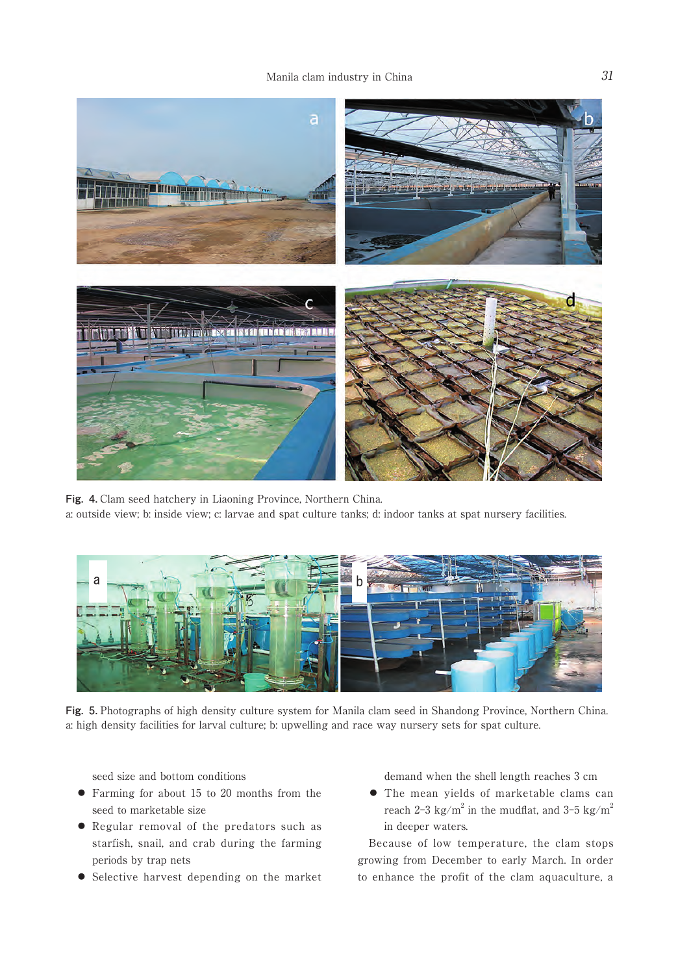

**Fig. 4.** Clam seed hatchery in Liaoning Province, Northern China. a: outside view; b: inside view; c: larvae and spat culture tanks; d: indoor tanks at spat nursery facilities.



**Fig. 5.** Photographs of high density culture system for Manila clam seed in Shandong Province, Northern China. a: high density facilities for larval culture; b: upwelling and race way nursery sets for spat culture.

seed size and bottom conditions

- ⃝ Farming for about 15 to 20 months from the seed to marketable size
- ⃝ Regular removal of the predators such as starfish, snail, and crab during the farming periods by trap nets
- ⃝ Selective harvest depending on the market

demand when the shell length reaches 3 cm

 ⃝ The mean yields of marketable clams can reach 2-3 kg/m<sup>2</sup> in the mudflat, and 3-5 kg/m<sup>2</sup> in deeper waters.

 Because of low temperature, the clam stops growing from December to early March. In order to enhance the profit of the clam aquaculture, a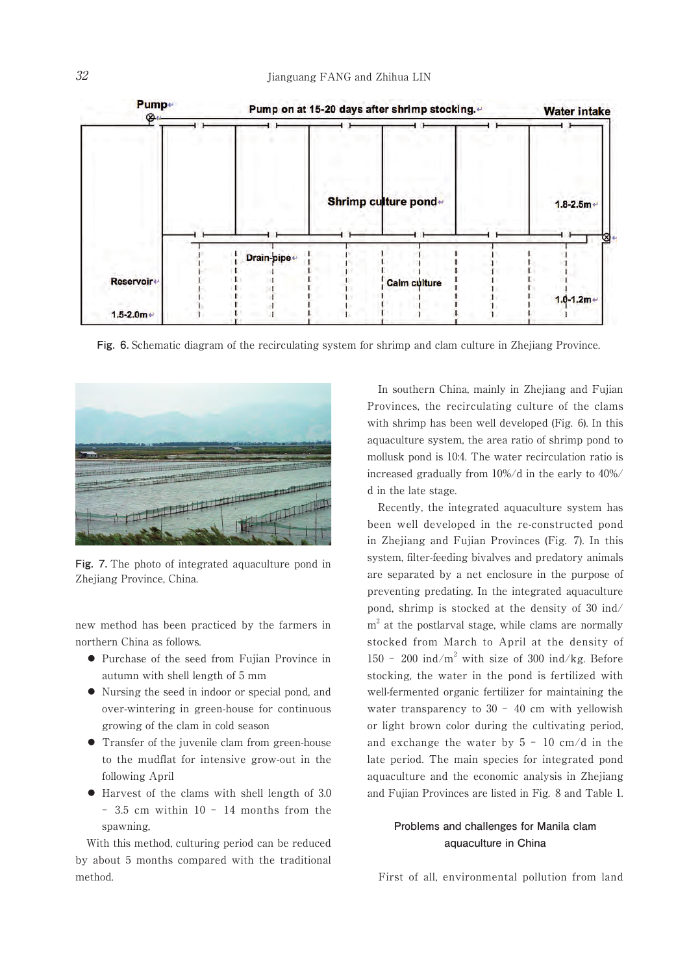

**Fig. 6.** Schematic diagram of the recirculating system for shrimp and clam culture in Zhejiang Province.



**Fig. 7.** The photo of integrated aquaculture pond in Zhejiang Province, China.

new method has been practiced by the farmers in northern China as follows.

- ⃝ Purchase of the seed from Fujian Province in autumn with shell length of 5 mm
- ⃝ Nursing the seed in indoor or special pond, and over-wintering in green-house for continuous growing of the clam in cold season
- ⃝ Transfer of the juvenile clam from green-house to the mudflat for intensive grow-out in the following April
- ⃝ Harvest of the clams with shell length of 3.0 - 3.5 cm within 10 - 14 months from the spawning,

 With this method, culturing period can be reduced by about 5 months compared with the traditional method.

 In southern China, mainly in Zhejiang and Fujian Provinces, the recirculating culture of the clams with shrimp has been well developed (Fig. 6). In this aquaculture system, the area ratio of shrimp pond to mollusk pond is 10:4. The water recirculation ratio is increased gradually from 10%/d in the early to 40%/ d in the late stage.

 Recently, the integrated aquaculture system has been well developed in the re-constructed pond in Zhejiang and Fujian Provinces (Fig. 7). In this system, filter-feeding bivalves and predatory animals are separated by a net enclosure in the purpose of preventing predating. In the integrated aquaculture pond, shrimp is stocked at the density of 30 ind/ m<sup>2</sup> at the postlarval stage, while clams are normally stocked from March to April at the density of  $150 - 200$  ind/m<sup>2</sup> with size of 300 ind/kg. Before stocking, the water in the pond is fertilized with well-fermented organic fertilizer for maintaining the water transparency to  $30 - 40$  cm with yellowish or light brown color during the cultivating period, and exchange the water by  $5 - 10$  cm/d in the late period. The main species for integrated pond aquaculture and the economic analysis in Zhejiang and Fujian Provinces are listed in Fig. 8 and Table 1.

## **Problems and challenges for Manila clam aquaculture in China**

First of all, environmental pollution from land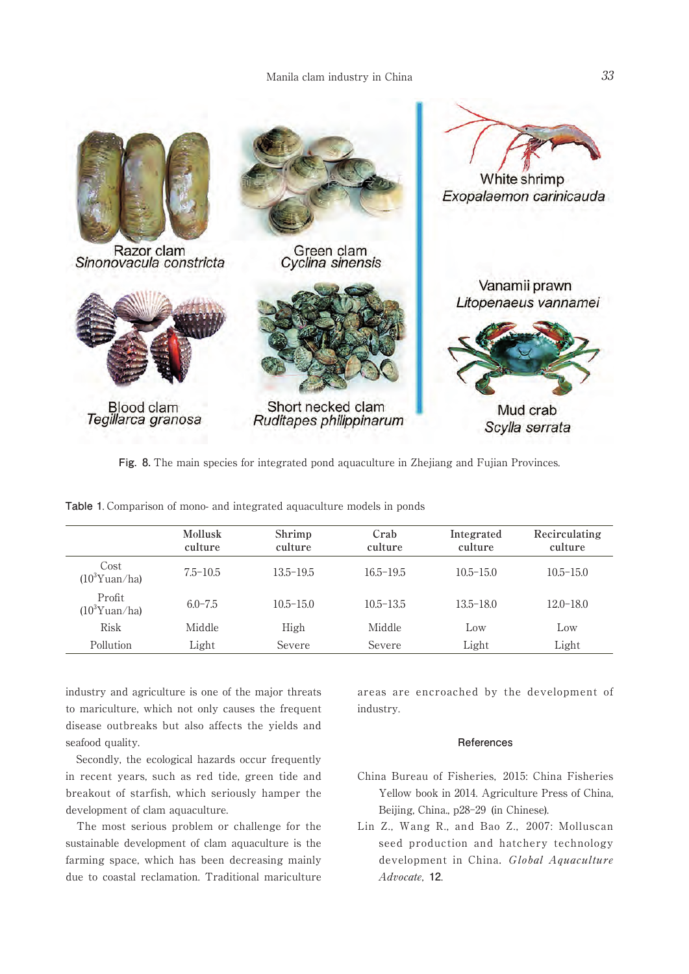

**Fig. 8.** The main species for integrated pond aquaculture in Zhejiang and Fujian Provinces.

|                            | <b>Mollusk</b><br>culture | Shrimp<br>culture | Crab<br>culture | Integrated<br>culture | Recirculating<br>culture |
|----------------------------|---------------------------|-------------------|-----------------|-----------------------|--------------------------|
| Cost<br>$(10^3$ Yuan/ha)   | $7.5 - 10.5$              | $13.5 - 19.5$     | $16.5 - 19.5$   | $10.5 - 15.0$         | $10.5 - 15.0$            |
| Profit<br>$(10^3$ Yuan/ha) | $6.0 - 7.5$               | $10.5 - 15.0$     | $10.5 - 13.5$   | $13.5 - 18.0$         | $12.0 - 18.0$            |
| Risk                       | Middle                    | High              | Middle          | Low                   | Low                      |
| <b>Pollution</b>           | Light                     | Severe            | Severe          | Light                 | Light                    |

**Table 1**. Comparison of mono- and integrated aquaculture models in ponds

industry and agriculture is one of the major threats to mariculture, which not only causes the frequent disease outbreaks but also affects the yields and seafood quality.

 Secondly, the ecological hazards occur frequently in recent years, such as red tide, green tide and breakout of starfish, which seriously hamper the development of clam aquaculture.

 The most serious problem or challenge for the sustainable development of clam aquaculture is the farming space, which has been decreasing mainly due to coastal reclamation. Traditional mariculture

areas are encroached by the development of industry.

### **References**

- China Bureau of Fisheries, 2015: China Fisheries Yellow book in 2014. Agriculture Press of China, Beijing, China., p28-29 (in Chinese).
- Lin Z., Wang R., and Bao Z., 2007: Molluscan seed production and hatchery technology development in China. Global Aquaculture Advocate, **12**.